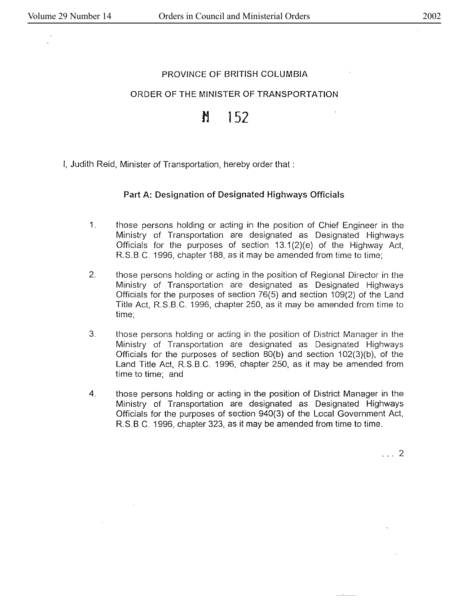## PROVINCE OF BRITISH COLUMBIA

### ORDER OF THE MINISTER OF TRANSPORTATION

# **M 152**

I, Judith Reid, Minister of Transportation, hereby order that :

### **Part A: Designation of Designated Highways Officials**

- 1. those persons holding or acting in the position of Chief Engineer in the Ministry of Transportation are designated as Designated Highways Officials for the purposes of section 13.1 {2)(e} of the Highway Act, R.S.B.C. 1996, chapter 188, as it may be amended from time to time;
- 2. those persons holding or acting in the position of Regional Director in the Ministry of Transportation are designated as Designated Highways Officials for the purposes of section 76(5} and section 109(2} of the Land Title Act, R.S.B.C. 1996, chapter 250, as it may be amended from time to time;
- 3. those persons holding or acting in the position of District Manager in the Ministry of Transportation are designated as Designated Highways Officials for the purposes of section 80(b) and section 102(3)(b), of the Land Title Act, R.S.B.C. 1996, chapter 250, as it may be amended from time to time; and
- 4. those persons holding or acting in the position of District Manager in the Ministry of Transportation are designated as Designated Highways Officials for the purposes of section 940(3) of the Local Government Act, R.S.B.C. 1996, chapter 323, as it may be amended from time to time .

.. . 2